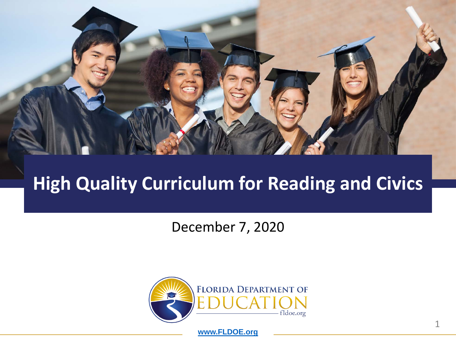

#### **High Quality Curriculum for Reading and Civics**

December 7, 2020



**[www.FLDOE.org](http://www.fldoe.org/)**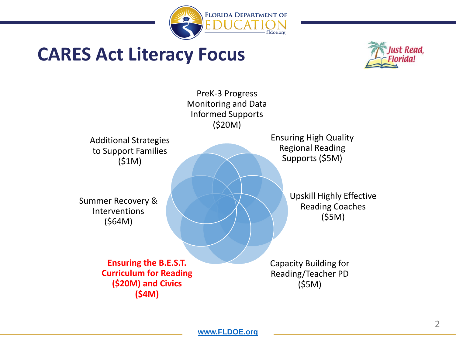

#### **CARES Act Literacy Focus**



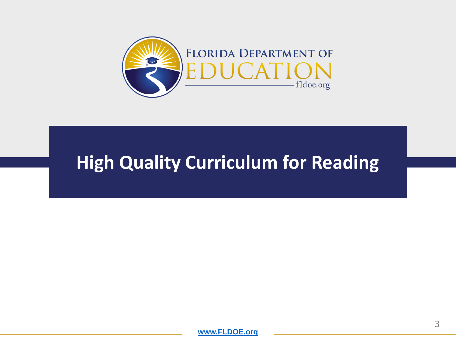

#### **High Quality Curriculum for Reading**

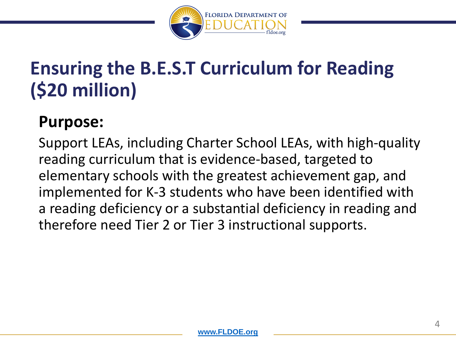

# **Ensuring the B.E.S.T Curriculum for Reading (\$20 million)**

#### **Purpose:**

Support LEAs, including Charter School LEAs, with high-quality reading curriculum that is evidence-based, targeted to elementary schools with the greatest achievement gap, and implemented for K-3 students who have been identified with a reading deficiency or a substantial deficiency in reading and therefore need Tier 2 or Tier 3 instructional supports.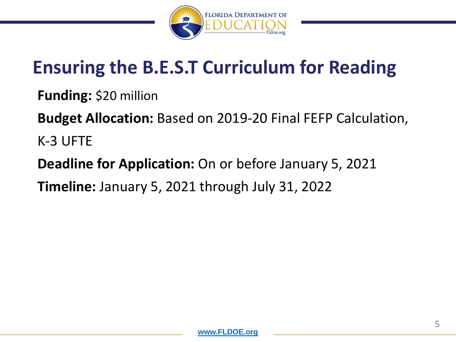

# **Ensuring the B.E.S.T Curriculum for Reading**

**Funding:** \$20 million

**Budget Allocation:** Based on 2019-20 Final FEFP Calculation, K-3 UFTE

**Deadline for Application:** On or before January 5, 2021 **Timeline:** January 5, 2021 through July 31, 2022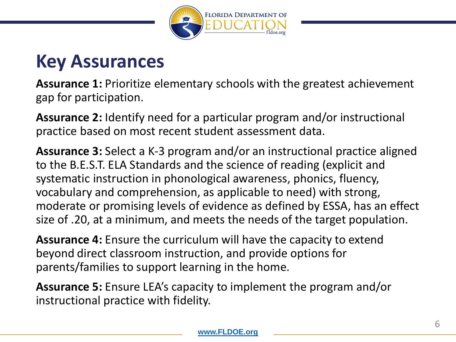

#### **Key Assurances**

**Assurance 1:** Prioritize elementary schools with the greatest achievement gap for participation.

**Assurance 2:** Identify need for a particular program and/or instructional practice based on most recent student assessment data.

**Assurance 3:** Select a K-3 program and/or an instructional practice aligned to the B.E.S.T. ELA Standards and the science of reading (explicit and systematic instruction in phonological awareness, phonics, fluency, vocabulary and comprehension, as applicable to need) with strong, moderate or promising levels of evidence as defined by ESSA, has an effect size of .20, at a minimum, and meets the needs of the target population.

**Assurance 4:** Ensure the curriculum will have the capacity to extend beyond direct classroom instruction, and provide options for parents/families to support learning in the home.

**Assurance 5:** Ensure LEA's capacity to implement the program and/or instructional practice with fidelity.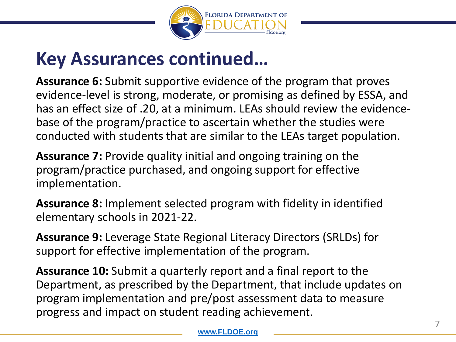

#### **Key Assurances continued…**

**Assurance 6:** Submit supportive evidence of the program that proves evidence-level is strong, moderate, or promising as defined by ESSA, and has an effect size of .20, at a minimum. LEAs should review the evidencebase of the program/practice to ascertain whether the studies were conducted with students that are similar to the LEAs target population.

**Assurance 7:** Provide quality initial and ongoing training on the program/practice purchased, and ongoing support for effective implementation.

**Assurance 8:** Implement selected program with fidelity in identified elementary schools in 2021-22.

**Assurance 9:** Leverage State Regional Literacy Directors (SRLDs) for support for effective implementation of the program.

**Assurance 10:** Submit a quarterly report and a final report to the Department, as prescribed by the Department, that include updates on program implementation and pre/post assessment data to measure progress and impact on student reading achievement.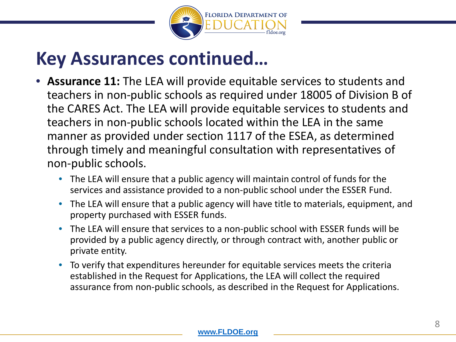

#### **Key Assurances continued…**

- **Assurance 11:** The LEA will provide equitable services to students and teachers in non-public schools as required under 18005 of Division B of the CARES Act. The LEA will provide equitable services to students and teachers in non-public schools located within the LEA in the same manner as provided under section 1117 of the ESEA, as determined through timely and meaningful consultation with representatives of non-public schools.
	- The LEA will ensure that a public agency will maintain control of funds for the services and assistance provided to a non-public school under the ESSER Fund.
	- The LEA will ensure that a public agency will have title to materials, equipment, and property purchased with ESSER funds.
	- The LEA will ensure that services to a non-public school with ESSER funds will be provided by a public agency directly, or through contract with, another public or private entity.
	- To verify that expenditures hereunder for equitable services meets the criteria established in the Request for Applications, the LEA will collect the required assurance from non-public schools, as described in the Request for Applications.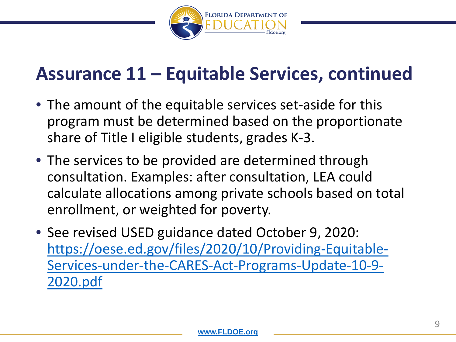

#### **Assurance 11 – Equitable Services, continued**

- The amount of the equitable services set-aside for this program must be determined based on the proportionate share of Title I eligible students, grades K-3.
- The services to be provided are determined through consultation. Examples: after consultation, LEA could calculate allocations among private schools based on total enrollment, or weighted for poverty.
- See revised USED guidance dated October 9, 2020: https://oese.ed.gov/files/2020/10/Providing-Equitable-[Services-under-the-CARES-Act-Programs-Update-10-9-](https://oese.ed.gov/files/2020/10/Providing-Equitable-Services-under-the-CARES-Act-Programs-Update-10-9-2020.pdf) 2020.pdf

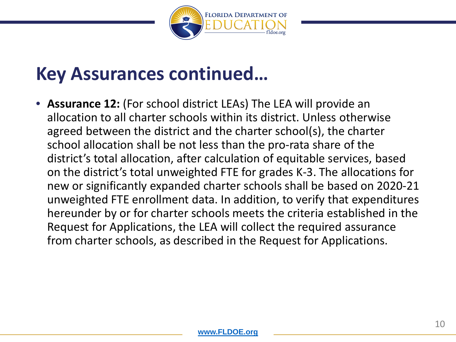

#### **Key Assurances continued…**

• **Assurance 12:** (For school district LEAs) The LEA will provide an allocation to all charter schools within its district. Unless otherwise agreed between the district and the charter school(s), the charter school allocation shall be not less than the pro-rata share of the district's total allocation, after calculation of equitable services, based on the district's total unweighted FTE for grades K-3. The allocations for new or significantly expanded charter schools shall be based on 2020-21 unweighted FTE enrollment data. In addition, to verify that expenditures hereunder by or for charter schools meets the criteria established in the Request for Applications, the LEA will collect the required assurance from charter schools, as described in the Request for Applications.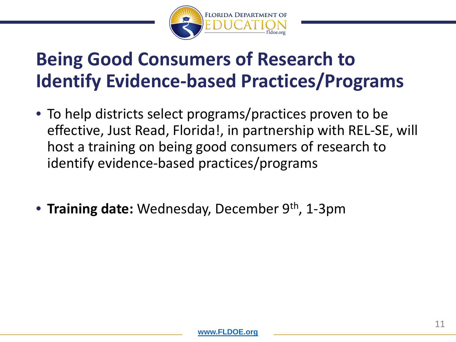

### **Being Good Consumers of Research to Identify Evidence-based Practices/Programs**

- To help districts select programs/practices proven to be effective, Just Read, Florida!, in partnership with REL-SE, will host a training on being good consumers of research to identify evidence-based practices/programs
- **Training date:** Wednesday, December 9<sup>th</sup>, 1-3pm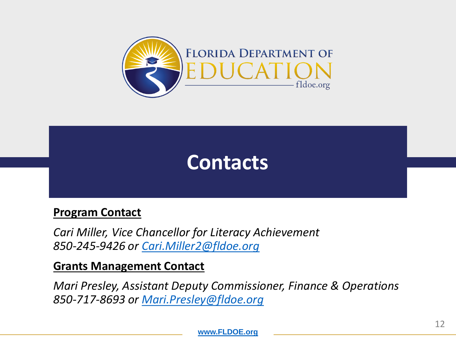



#### **Program Contact**

*Cari Miller, Vice Chancellor for Literacy Achievement 850-245-9426 or [Cari.Miller2@fldoe.org](mailto:Cari.Miller2@fldoe.org)*

#### **Grants Management Contact**

*Mari Presley, Assistant Deputy Commissioner, Finance & Operations 850-717-8693 or [Mari.Presley@fldoe.org](mailto:Mari.Presley@fldoe.org)*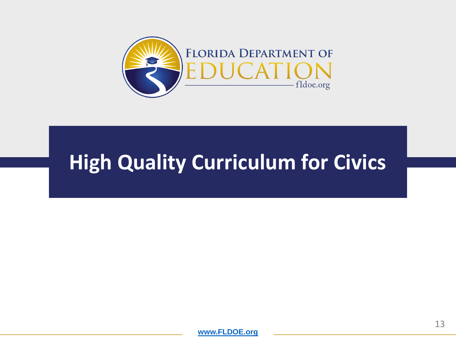

# **High Quality Curriculum for Civics**

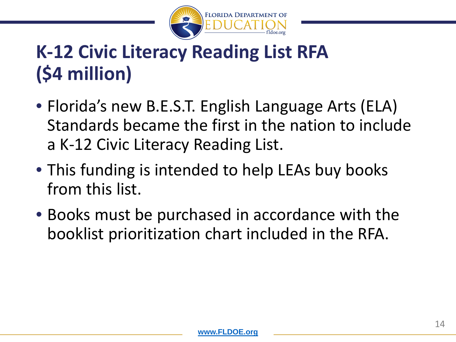

# **K-12 Civic Literacy Reading List RFA (\$4 million)**

- Florida's new B.E.S.T. English Language Arts (ELA) Standards became the first in the nation to include a K-12 Civic Literacy Reading List.
- This funding is intended to help LEAs buy books from this list.
- Books must be purchased in accordance with the booklist prioritization chart included in the RFA.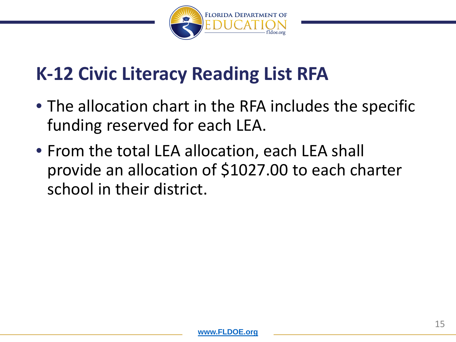

### **K-12 Civic Literacy Reading List RFA**

- The allocation chart in the RFA includes the specific funding reserved for each LEA.
- From the total LEA allocation, each LEA shall provide an allocation of \$1027.00 to each charter school in their district.

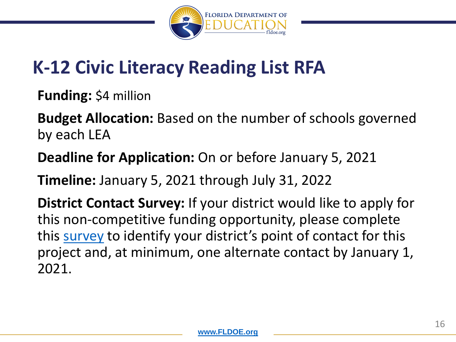

# **K-12 Civic Literacy Reading List RFA**

**Funding:** \$4 million

**Budget Allocation:** Based on the number of schools governed by each LEA

**Deadline for Application:** On or before January 5, 2021

**Timeline:** January 5, 2021 through July 31, 2022

**District Contact Survey:** If your district would like to apply for this non-competitive funding opportunity, please complete this [survey](https://forms.office.com/Pages/ResponsePage.aspx?id=exC_Y2_Lc0GMHBQGu1y3lG4w3J6T-HVLsGOrWsRVNuVUMUVHT1JaN05VTlpLWUUzMkhUWjAwVTU4WC4u) to identify your district's point of contact for this project and, at minimum, one alternate contact by January 1, 2021.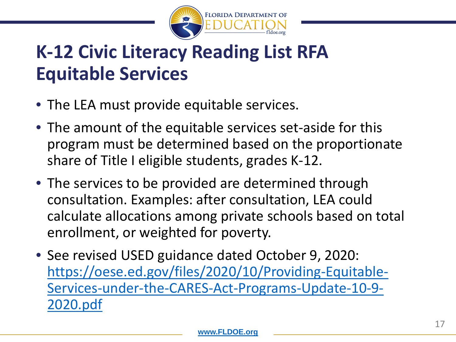

# **K-12 Civic Literacy Reading List RFA Equitable Services**

- The LEA must provide equitable services.
- The amount of the equitable services set-aside for this program must be determined based on the proportionate share of Title I eligible students, grades K-12.
- The services to be provided are determined through consultation. Examples: after consultation, LEA could calculate allocations among private schools based on total enrollment, or weighted for poverty.
- See revised USED guidance dated October 9, 2020: https://oese.ed.gov/files/2020/10/Providing-Equitable-[Services-under-the-CARES-Act-Programs-Update-10-9-](https://oese.ed.gov/files/2020/10/Providing-Equitable-Services-under-the-CARES-Act-Programs-Update-10-9-2020.pdf) 2020.pdf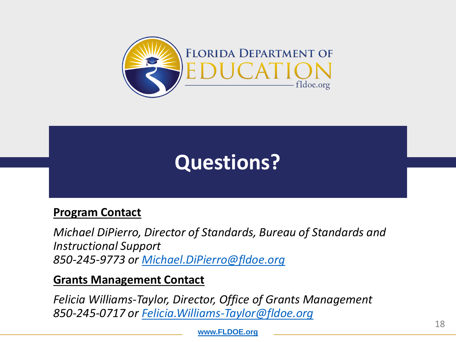

# **Questions?**

#### **Program Contact**

*Michael DiPierro, Director of Standards, Bureau of Standards and Instructional Support 850-245-9773 or [Michael.DiPierro@fldoe.org](mailto:Michael.DiPierro@fldoe.org)*

#### **Grants Management Contact**

*Felicia Williams-Taylor, Director, Office of Grants Management 850-245-0717 or [Felicia.Williams-Taylor@fldoe.org](mailto:Felicia.Williams-Taylor@fldoe.org)*

**[www.FLDOE.org](http://www.fldoe.org/)**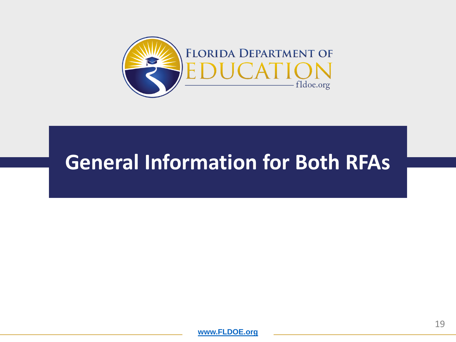

### **General Information for Both RFAs**

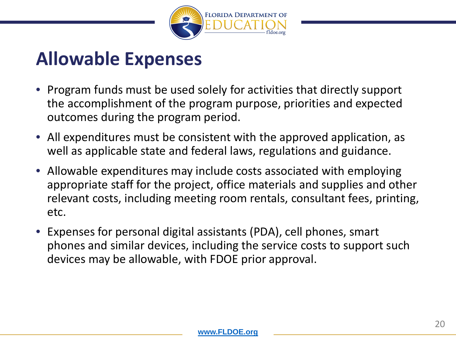

#### **Allowable Expenses**

- Program funds must be used solely for activities that directly support the accomplishment of the program purpose, priorities and expected outcomes during the program period.
- All expenditures must be consistent with the approved application, as well as applicable state and federal laws, regulations and guidance.
- Allowable expenditures may include costs associated with employing appropriate staff for the project, office materials and supplies and other relevant costs, including meeting room rentals, consultant fees, printing, etc.
- Expenses for personal digital assistants (PDA), cell phones, smart phones and similar devices, including the service costs to support such devices may be allowable, with FDOE prior approval.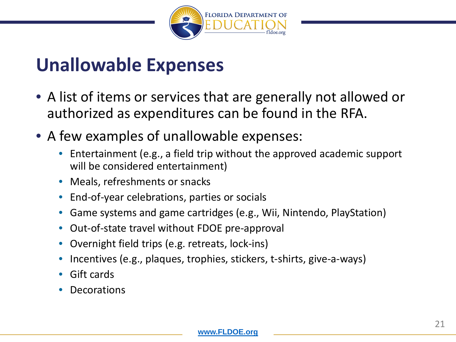

#### **Unallowable Expenses**

- A list of items or services that are generally not allowed or authorized as expenditures can be found in the RFA.
- A few examples of unallowable expenses:
	- Entertainment (e.g., a field trip without the approved academic support will be considered entertainment)
	- Meals, refreshments or snacks
	- End-of-year celebrations, parties or socials
	- Game systems and game cartridges (e.g., Wii, Nintendo, PlayStation)
	- Out-of-state travel without FDOE pre-approval
	- Overnight field trips (e.g. retreats, lock-ins)
	- Incentives (e.g., plaques, trophies, stickers, t-shirts, give-a-ways)
	- Gift cards
	- **Decorations**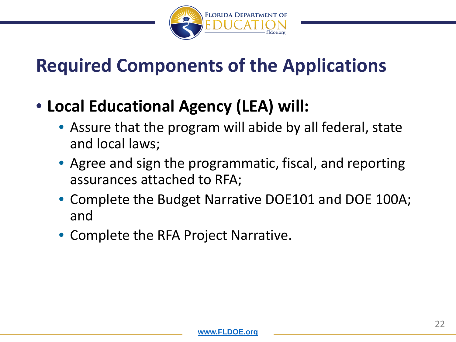

# **Required Components of the Applications**

- **Local Educational Agency (LEA) will:**
	- Assure that the program will abide by all federal, state and local laws;
	- Agree and sign the programmatic, fiscal, and reporting assurances attached to RFA;
	- Complete the Budget Narrative DOE101 and DOE 100A; and
	- Complete the RFA Project Narrative.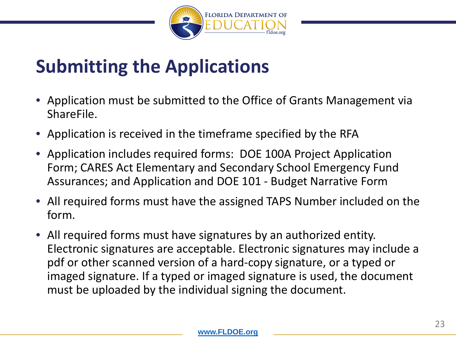

### **Submitting the Applications**

- Application must be submitted to the Office of Grants Management via ShareFile.
- Application is received in the timeframe specified by the RFA
- Application includes required forms: DOE 100A Project Application Form; CARES Act Elementary and Secondary School Emergency Fund Assurances; and Application and DOE 101 - Budget Narrative Form
- All required forms must have the assigned TAPS Number included on the form.
- All required forms must have signatures by an authorized entity. Electronic signatures are acceptable. Electronic signatures may include a pdf or other scanned version of a hard-copy signature, or a typed or imaged signature. If a typed or imaged signature is used, the document must be uploaded by the individual signing the document.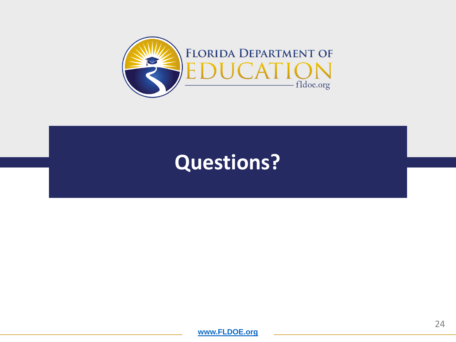

# **Questions?**